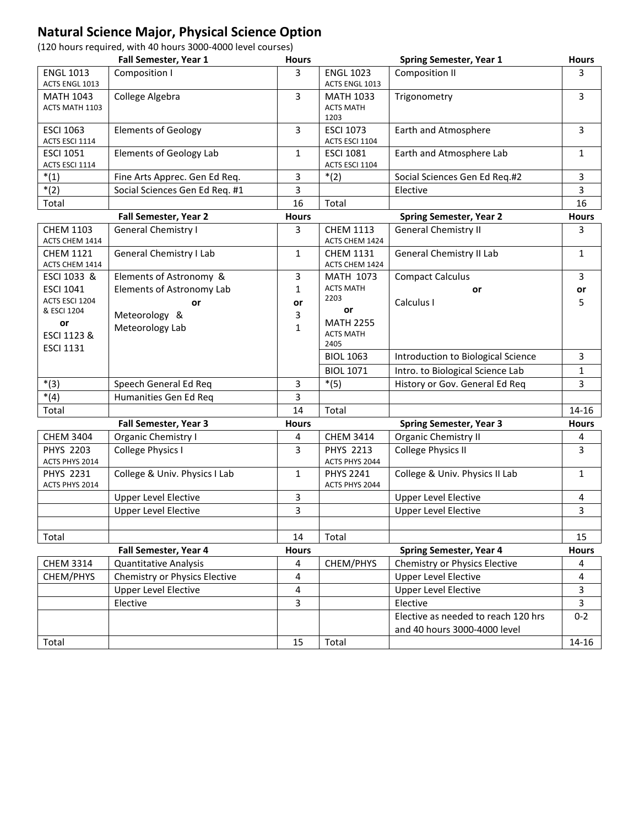## **Natural Science Major, Physical Science Option**

(120 hours required, with 40 hours 3000-4000 level courses)

|                       | Fall Semester, Year 1          | <b>Hours</b>      |                                    | <b>Spring Semester, Year 1</b>      | <b>Hours</b> |
|-----------------------|--------------------------------|-------------------|------------------------------------|-------------------------------------|--------------|
| <b>ENGL 1013</b>      | Composition I                  | 3                 | <b>ENGL 1023</b>                   | Composition II                      | 3            |
| ACTS ENGL 1013        |                                |                   | ACTS ENGL 1013                     |                                     |              |
| <b>MATH 1043</b>      | College Algebra                | 3                 | <b>MATH 1033</b>                   | Trigonometry                        | 3            |
| ACTS MATH 1103        |                                |                   | <b>ACTS MATH</b>                   |                                     |              |
| <b>ESCI 1063</b>      | <b>Elements of Geology</b>     |                   | 1203                               |                                     |              |
| ACTS ESCI 1114        |                                | 3                 | <b>ESCI 1073</b><br>ACTS ESCI 1104 | Earth and Atmosphere                | 3            |
| <b>ESCI 1051</b>      | <b>Elements of Geology Lab</b> | 1                 | <b>ESCI 1081</b>                   | Earth and Atmosphere Lab            | 1            |
| ACTS ESCI 1114        |                                |                   | ACTS ESCI 1104                     |                                     |              |
| $*(1)$                | Fine Arts Apprec. Gen Ed Req.  | 3                 | $*(2)$                             | Social Sciences Gen Ed Req.#2       | 3            |
| $*(2)$                | Social Sciences Gen Ed Req. #1 | 3                 |                                    | Elective                            | 3            |
| Total                 |                                | 16                | Total                              |                                     | 16           |
|                       | Fall Semester, Year 2          | <b>Hours</b>      |                                    | <b>Spring Semester, Year 2</b>      | <b>Hours</b> |
| <b>CHEM 1103</b>      | General Chemistry I            | 3                 | <b>CHEM 1113</b>                   | <b>General Chemistry II</b>         | 3            |
| ACTS CHEM 1414        |                                |                   | ACTS CHEM 1424                     |                                     |              |
| <b>CHEM 1121</b>      | General Chemistry I Lab        | $\mathbf{1}$      | <b>CHEM 1131</b>                   | <b>General Chemistry II Lab</b>     | $\mathbf{1}$ |
| ACTS CHEM 1414        |                                |                   | ACTS CHEM 1424                     |                                     |              |
| ESCI 1033 &           | Elements of Astronomy &        | 3                 | <b>MATH 1073</b>                   | <b>Compact Calculus</b>             | 3            |
| <b>ESCI 1041</b>      | Elements of Astronomy Lab      | 1                 | <b>ACTS MATH</b>                   | or                                  | or           |
| ACTS ESCI 1204        | or                             | or                | 2203                               | Calculus I                          | 5            |
| & ESCI 1204           | Meteorology &                  | 3                 | or                                 |                                     |              |
| or                    | Meteorology Lab                | 1                 | <b>MATH 2255</b>                   |                                     |              |
| ESCI 1123 &           |                                |                   | <b>ACTS MATH</b><br>2405           |                                     |              |
| <b>ESCI 1131</b>      |                                |                   | <b>BIOL 1063</b>                   | Introduction to Biological Science  | 3            |
|                       |                                |                   | <b>BIOL 1071</b>                   | Intro. to Biological Science Lab    | 1            |
| $*(3)$                | Speech General Ed Req          | 3                 | $*(5)$                             | History or Gov. General Ed Req      | 3            |
| $*(4)$                | Humanities Gen Ed Req          | 3                 |                                    |                                     |              |
| Total                 |                                | 14                | Total                              |                                     | 14-16        |
| Fall Semester, Year 3 |                                |                   |                                    | <b>Spring Semester, Year 3</b>      | <b>Hours</b> |
| <b>CHEM 3404</b>      | Organic Chemistry I            | <b>Hours</b><br>4 | <b>CHEM 3414</b>                   | <b>Organic Chemistry II</b>         | 4            |
| <b>PHYS 2203</b>      | College Physics I              | 3                 | <b>PHYS 2213</b>                   | <b>College Physics II</b>           | 3            |
| ACTS PHYS 2014        |                                |                   | ACTS PHYS 2044                     |                                     |              |
| <b>PHYS 2231</b>      | College & Univ. Physics I Lab  | $\mathbf{1}$      | <b>PHYS 2241</b>                   | College & Univ. Physics II Lab      | $\mathbf{1}$ |
| ACTS PHYS 2014        |                                |                   | ACTS PHYS 2044                     |                                     |              |
|                       | <b>Upper Level Elective</b>    | 3                 |                                    | <b>Upper Level Elective</b>         | 4            |
|                       | <b>Upper Level Elective</b>    | 3                 |                                    | <b>Upper Level Elective</b>         | 3            |
|                       |                                |                   |                                    |                                     |              |
| Total                 |                                | 14                | Total                              |                                     | 15           |
|                       | <b>Fall Semester, Year 4</b>   | <b>Hours</b>      |                                    | <b>Spring Semester, Year 4</b>      | <b>Hours</b> |
| <b>CHEM 3314</b>      | <b>Quantitative Analysis</b>   | 4                 | CHEM/PHYS                          | Chemistry or Physics Elective       | 4            |
| CHEM/PHYS             | Chemistry or Physics Elective  | 4                 |                                    | <b>Upper Level Elective</b>         | 4            |
|                       | <b>Upper Level Elective</b>    | 4                 |                                    | <b>Upper Level Elective</b>         | 3            |
|                       | Elective                       | 3                 |                                    | Elective                            | 3            |
|                       |                                |                   |                                    | Elective as needed to reach 120 hrs | $0 - 2$      |
|                       |                                |                   |                                    | and 40 hours 3000-4000 level        |              |
| Total                 |                                | 15                | Total                              |                                     | 14-16        |